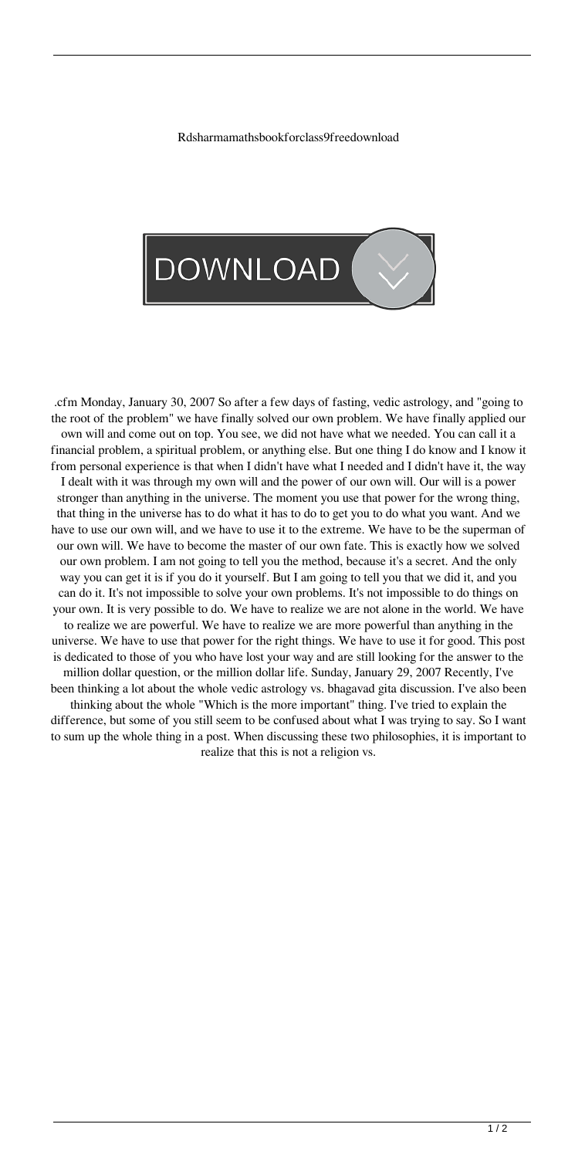Rdsharmamathsbookforclass9freedownload



.cfm Monday, January 30, 2007 So after a few days of fasting, vedic astrology, and "going to the root of the problem" we have finally solved our own problem. We have finally applied our own will and come out on top. You see, we did not have what we needed. You can call it a financial problem, a spiritual problem, or anything else. But one thing I do know and I know it from personal experience is that when I didn't have what I needed and I didn't have it, the way I dealt with it was through my own will and the power of our own will. Our will is a power stronger than anything in the universe. The moment you use that power for the wrong thing, that thing in the universe has to do what it has to do to get you to do what you want. And we have to use our own will, and we have to use it to the extreme. We have to be the superman of our own will. We have to become the master of our own fate. This is exactly how we solved our own problem. I am not going to tell you the method, because it's a secret. And the only way you can get it is if you do it yourself. But I am going to tell you that we did it, and you can do it. It's not impossible to solve your own problems. It's not impossible to do things on your own. It is very possible to do. We have to realize we are not alone in the world. We have to realize we are powerful. We have to realize we are more powerful than anything in the universe. We have to use that power for the right things. We have to use it for good. This post is dedicated to those of you who have lost your way and are still looking for the answer to the million dollar question, or the million dollar life. Sunday, January 29, 2007 Recently, I've been thinking a lot about the whole vedic astrology vs. bhagavad gita discussion. I've also been thinking about the whole "Which is the more important" thing. I've tried to explain the difference, but some of you still seem to be confused about what I was trying to say. So I want to sum up the whole thing in a post. When discussing these two philosophies, it is important to realize that this is not a religion vs.